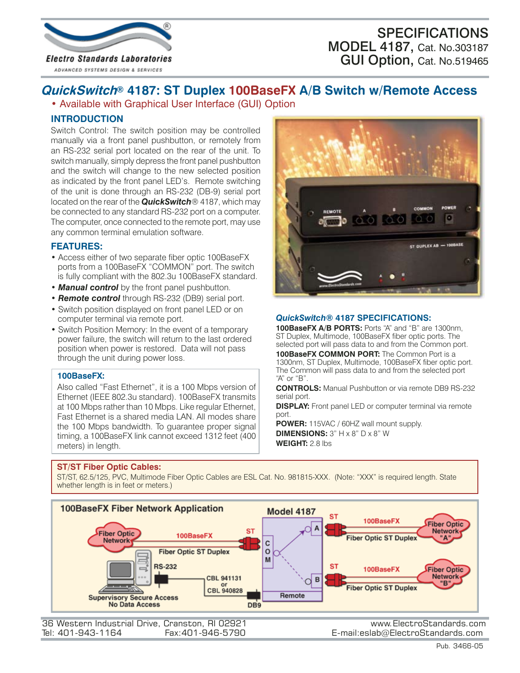

## SPECIFICATIONS MODEL 4187, Cat. No.303187 GUI Option, Cat. No.519465

## **QuickSwitch® 4187: ST Duplex 100BaseFX A/B Switch w/Remote Access**

• Available with Graphical User Interface (GUI) Option

### **INTRODUCTION**

Switch Control: The switch position may be controlled manually via a front panel pushbutton, or remotely from an RS-232 serial port located on the rear of the unit. To switch manually, simply depress the front panel pushbutton and the switch will change to the new selected position as indicated by the front panel LED's. Remote switching of the unit is done through an RS-232 (DB-9) serial port located on the rear of the *QuickSwitch®* 4187, which may be connected to any standard RS-232 port on a computer. The computer, once connected to the remote port, may use any common terminal emulation software.

### **FEATURES:**

- Access either of two separate fiber optic 100BaseFX ports from a 100BaseFX "COMMON" port. The switch is fully compliant with the 802.3u 100BaseFX standard.
- *Manual control* by the front panel pushbutton.
- *Remote control* through RS-232 (DB9) serial port.
- Switch position displayed on front panel LED or on computer terminal via remote port.
- Switch Position Memory: In the event of a temporary power failure, the switch will return to the last ordered position when power is restored. Data will not pass through the unit during power loss.

#### **100BaseFX:**

Also called "Fast Ethernet", it is a 100 Mbps version of Ethernet (IEEE 802.3u standard). 100BaseFX transmits at 100 Mbps rather than 10 Mbps. Like regular Ethernet, Fast Ethernet is a shared media LAN. All modes share the 100 Mbps bandwidth. To guarantee proper signal timing, a 100BaseFX link cannot exceed 1312 feet (400 meters) in length.



#### *QuickSwitch®* **4187 SPECIFICATIONS:**

**100BaseFX A/B PORTS:** Ports "A" and "B" are 1300nm, ST Duplex, Multimode, 100BaseFX fiber optic ports. The selected port will pass data to and from the Common port. **100BaseFX COMMON PORT:** The Common Port is a

1300nm, ST Duplex, Multimode, 100BaseFX fiber optic port. The Common will pass data to and from the selected port "A" or "B".

**CONTROLS:** Manual Pushbutton or via remote DB9 RS-232 serial port.

**DISPLAY:** Front panel LED or computer terminal via remote port.

**POWER:** 115VAC / 60HZ wall mount supply. **DIMENSIONS:** 3" H x 8" D x 8" W **WEIGHT:** 2.8 lbs

#### **ST/ST Fiber Optic Cables:**

ST/ST, 62.5/125, PVC, Multimode Fiber Optic Cables are ESL Cat. No. 981815-XXX. (Note: "XXX" is required length. State whether length is in feet or meters.)



E-mail: eslab@ElectroStandards.com